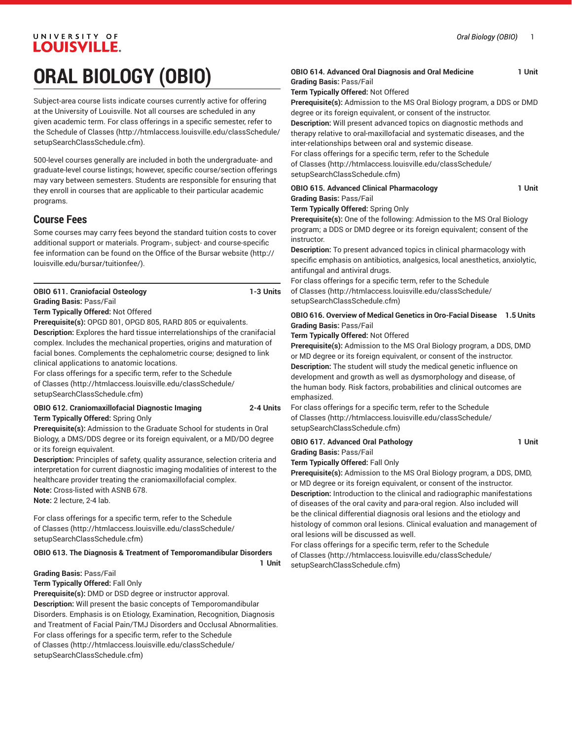# UNIVERSITY OF **LOUISVILLE.**

# **ORAL BIOLOGY (OBIO)**

Subject-area course lists indicate courses currently active for offering at the University of Louisville. Not all courses are scheduled in any given academic term. For class offerings in a specific semester, refer to the [Schedule of Classes](http://htmlaccess.louisville.edu/classSchedule/setupSearchClassSchedule.cfm) ([http://htmlaccess.louisville.edu/classSchedule/](http://htmlaccess.louisville.edu/classSchedule/setupSearchClassSchedule.cfm) [setupSearchClassSchedule.cfm\)](http://htmlaccess.louisville.edu/classSchedule/setupSearchClassSchedule.cfm).

500-level courses generally are included in both the undergraduate- and graduate-level course listings; however, specific course/section offerings may vary between semesters. Students are responsible for ensuring that they enroll in courses that are applicable to their particular academic programs.

## **Course Fees**

Some courses may carry fees beyond the standard tuition costs to cover additional support or materials. Program-, subject- and course-specific fee information can be found on the [Office of the Bursar website](http://louisville.edu/bursar/tuitionfee/) ([http://](http://louisville.edu/bursar/tuitionfee/) [louisville.edu/bursar/tuitionfee/](http://louisville.edu/bursar/tuitionfee/)).

**OBIO 611. Craniofacial Osteology 1-3 Units**

#### **Grading Basis:** Pass/Fail **Term Typically Offered:** Not Offered

**Prerequisite(s):** OPGD 801, OPGD 805, RARD 805 or equivalents.

**Description:** Explores the hard tissue interrelationships of the cranifacial complex. Includes the mechanical properties, origins and maturation of facial bones. Complements the cephalometric course; designed to link clinical applications to anatomic locations.

For class offerings for a specific term, refer to the [Schedule](http://htmlaccess.louisville.edu/classSchedule/setupSearchClassSchedule.cfm) [of Classes \(http://htmlaccess.louisville.edu/classSchedule/](http://htmlaccess.louisville.edu/classSchedule/setupSearchClassSchedule.cfm) [setupSearchClassSchedule.cfm\)](http://htmlaccess.louisville.edu/classSchedule/setupSearchClassSchedule.cfm)

### **OBIO 612. Craniomaxillofacial Diagnostic Imaging 2-4 Units**

**Term Typically Offered:** Spring Only

**Prerequisite(s):** Admission to the Graduate School for students in Oral Biology, a DMS/DDS degree or its foreign equivalent, or a MD/DO degree or its foreign equivalent.

**Description:** Principles of safety, quality assurance, selection criteria and interpretation for current diagnostic imaging modalities of interest to the healthcare provider treating the craniomaxillofacial complex. **Note:** Cross-listed with ASNB 678.

**Note:** 2 lecture, 2-4 lab.

For class offerings for a specific term, refer to the [Schedule](http://htmlaccess.louisville.edu/classSchedule/setupSearchClassSchedule.cfm) [of Classes \(http://htmlaccess.louisville.edu/classSchedule/](http://htmlaccess.louisville.edu/classSchedule/setupSearchClassSchedule.cfm) [setupSearchClassSchedule.cfm\)](http://htmlaccess.louisville.edu/classSchedule/setupSearchClassSchedule.cfm)

#### **OBIO 613. The Diagnosis & Treatment of Temporomandibular Disorders**

**1 Unit**

#### **Grading Basis:** Pass/Fail

**Term Typically Offered:** Fall Only

**Prerequisite(s):** DMD or DSD degree or instructor approval. **Description:** Will present the basic concepts of Temporomandibular Disorders. Emphasis is on Etiology, Examination, Recognition, Diagnosis and Treatment of Facial Pain/TMJ Disorders and Occlusal Abnormalities. For class offerings for a specific term, refer to the [Schedule](http://htmlaccess.louisville.edu/classSchedule/setupSearchClassSchedule.cfm) [of Classes \(http://htmlaccess.louisville.edu/classSchedule/](http://htmlaccess.louisville.edu/classSchedule/setupSearchClassSchedule.cfm) [setupSearchClassSchedule.cfm\)](http://htmlaccess.louisville.edu/classSchedule/setupSearchClassSchedule.cfm)

#### **OBIO 614. Advanced Oral Diagnosis and Oral Medicine 1 Unit Grading Basis:** Pass/Fail

**Term Typically Offered:** Not Offered

**Prerequisite(s):** Admission to the MS Oral Biology program, a DDS or DMD degree or its foreign equivalent, or consent of the instructor.

**Description:** Will present advanced topics on diagnostic methods and therapy relative to oral-maxillofacial and systematic diseases, and the inter-relationships between oral and systemic disease.

For class offerings for a specific term, refer to the [Schedule](http://htmlaccess.louisville.edu/classSchedule/setupSearchClassSchedule.cfm) [of Classes](http://htmlaccess.louisville.edu/classSchedule/setupSearchClassSchedule.cfm) ([http://htmlaccess.louisville.edu/classSchedule/](http://htmlaccess.louisville.edu/classSchedule/setupSearchClassSchedule.cfm) [setupSearchClassSchedule.cfm\)](http://htmlaccess.louisville.edu/classSchedule/setupSearchClassSchedule.cfm)

| <b>OBIO 615. Advanced Clinical Pharmacology</b> | 1 Unit |
|-------------------------------------------------|--------|
| <b>Grading Basis: Pass/Fail</b>                 |        |
| <b>Term Typically Offered:</b> Spring Only      |        |

**Prerequisite(s):** One of the following: Admission to the MS Oral Biology program; a DDS or DMD degree or its foreign equivalent; consent of the instructor.

**Description:** To present advanced topics in clinical pharmacology with specific emphasis on antibiotics, analgesics, local anesthetics, anxiolytic, antifungal and antiviral drugs.

For class offerings for a specific term, refer to the [Schedule](http://htmlaccess.louisville.edu/classSchedule/setupSearchClassSchedule.cfm) [of Classes](http://htmlaccess.louisville.edu/classSchedule/setupSearchClassSchedule.cfm) ([http://htmlaccess.louisville.edu/classSchedule/](http://htmlaccess.louisville.edu/classSchedule/setupSearchClassSchedule.cfm) [setupSearchClassSchedule.cfm\)](http://htmlaccess.louisville.edu/classSchedule/setupSearchClassSchedule.cfm)

#### **OBIO 616. Overview of Medical Genetics in Oro-Facial Disease 1.5 Units Grading Basis:** Pass/Fail

#### **Term Typically Offered:** Not Offered

**Prerequisite(s):** Admission to the MS Oral Biology program, a DDS, DMD or MD degree or its foreign equivalent, or consent of the instructor. **Description:** The student will study the medical genetic influence on development and growth as well as dysmorphology and disease, of the human body. Risk factors, probabilities and clinical outcomes are emphasized.

For class offerings for a specific term, refer to the [Schedule](http://htmlaccess.louisville.edu/classSchedule/setupSearchClassSchedule.cfm) [of Classes](http://htmlaccess.louisville.edu/classSchedule/setupSearchClassSchedule.cfm) ([http://htmlaccess.louisville.edu/classSchedule/](http://htmlaccess.louisville.edu/classSchedule/setupSearchClassSchedule.cfm) [setupSearchClassSchedule.cfm\)](http://htmlaccess.louisville.edu/classSchedule/setupSearchClassSchedule.cfm)

## **OBIO 617. Advanced Oral Pathology 1 Unit Grading Basis:** Pass/Fail

## **Term Typically Offered:** Fall Only

**Prerequisite(s):** Admission to the MS Oral Biology program, a DDS, DMD, or MD degree or its foreign equivalent, or consent of the instructor. **Description:** Introduction to the clinical and radiographic manifestations of diseases of the oral cavity and para-oral region. Also included will be the clinical differential diagnosis oral lesions and the etiology and histology of common oral lesions. Clinical evaluation and management of oral lesions will be discussed as well.

For class offerings for a specific term, refer to the [Schedule](http://htmlaccess.louisville.edu/classSchedule/setupSearchClassSchedule.cfm) [of Classes](http://htmlaccess.louisville.edu/classSchedule/setupSearchClassSchedule.cfm) ([http://htmlaccess.louisville.edu/classSchedule/](http://htmlaccess.louisville.edu/classSchedule/setupSearchClassSchedule.cfm) [setupSearchClassSchedule.cfm\)](http://htmlaccess.louisville.edu/classSchedule/setupSearchClassSchedule.cfm)